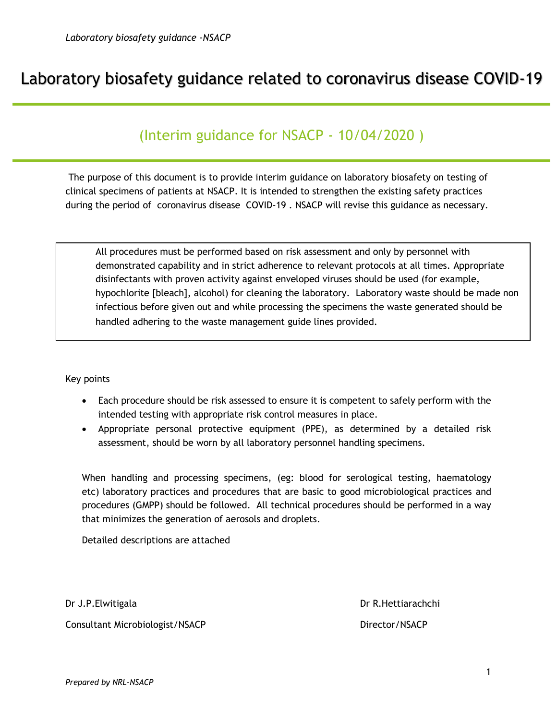# Laboratory biosafety guidance related to coronavirus disease COVID-19

# (Interim guidance for NSACP - 10/04/2020 )

The purpose of this document is to provide interim guidance on laboratory biosafety on testing of clinical specimens of patients at NSACP. It is intended to strengthen the existing safety practices during the period of coronavirus disease COVID-19 . NSACP will revise this guidance as necessary.

All procedures must be performed based on risk assessment and only by personnel with demonstrated capability and in strict adherence to relevant protocols at all times. Appropriate disinfectants with proven activity against enveloped viruses should be used (for example, hypochlorite [bleach], alcohol) for cleaning the laboratory. Laboratory waste should be made non infectious before given out and while processing the specimens the waste generated should be handled adhering to the waste management guide lines provided.

Key points

- Each procedure should be risk assessed to ensure it is competent to safely perform with the intended testing with appropriate risk control measures in place.
- Appropriate personal protective equipment (PPE), as determined by a detailed risk assessment, should be worn by all laboratory personnel handling specimens.

When handling and processing specimens, (eg: blood for serological testing, haematology etc) laboratory practices and procedures that are basic to good microbiological practices and procedures (GMPP) should be followed. All technical procedures should be performed in a way that minimizes the generation of aerosols and droplets.

Detailed descriptions are attached

Consultant Microbiologist/NSACP Director/NSACP

Dr J.P.Elwitigala Dr R.Hettiarachchi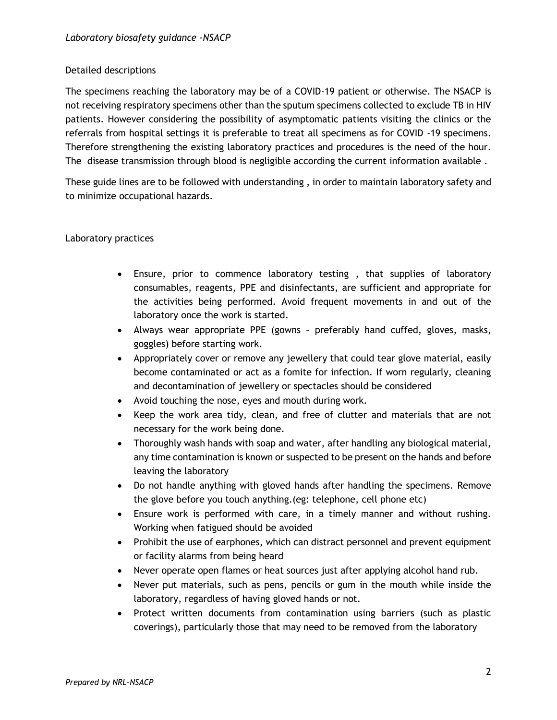### Detailed descriptions

The specimens reaching the laboratory may be of a COVID-19 patient or otherwise. The NSACP is not receiving respiratory specimens other than the sputum specimens collected to exclude TB in HIV patients. However considering the possibility of asymptomatic patients visiting the clinics or the referrals from hospital settings it is preferable to treat all specimens as for COVID -19 specimens. Therefore strengthening the existing laboratory practices and procedures is the need of the hour. The disease transmission through blood is negligible according the current information available.

These guide lines are to be followed with understanding , in order to maintain laboratory safety and to minimize occupational hazards.

### Laboratory practices

- Ensure, prior to commence laboratory testing , that supplies of laboratory consumables, reagents, PPE and disinfectants, are sufficient and appropriate for the activities being performed. Avoid frequent movements in and out of the laboratory once the work is started.
- Always wear appropriate PPE (gowns preferably hand cuffed, gloves, masks, goggles) before starting work.
- Appropriately cover or remove any jewellery that could tear glove material, easily become contaminated or act as a fomite for infection. If worn regularly, cleaning and decontamination of jewellery or spectacles should be considered
- Avoid touching the nose, eyes and mouth during work.
- Keep the work area tidy, clean, and free of clutter and materials that are not necessary for the work being done.
- Thoroughly wash hands with soap and water, after handling any biological material, any time contamination is known or suspected to be present on the hands and before leaving the laboratory
- Do not handle anything with gloved hands after handling the specimens. Remove the glove before you touch anything.(eg: telephone, cell phone etc)
- Ensure work is performed with care, in a timely manner and without rushing. Working when fatigued should be avoided
- Prohibit the use of earphones, which can distract personnel and prevent equipment or facility alarms from being heard
- Never operate open flames or heat sources just after applying alcohol hand rub.
- Never put materials, such as pens, pencils or gum in the mouth while inside the laboratory, regardless of having gloved hands or not.
- Protect written documents from contamination using barriers (such as plastic coverings), particularly those that may need to be removed from the laboratory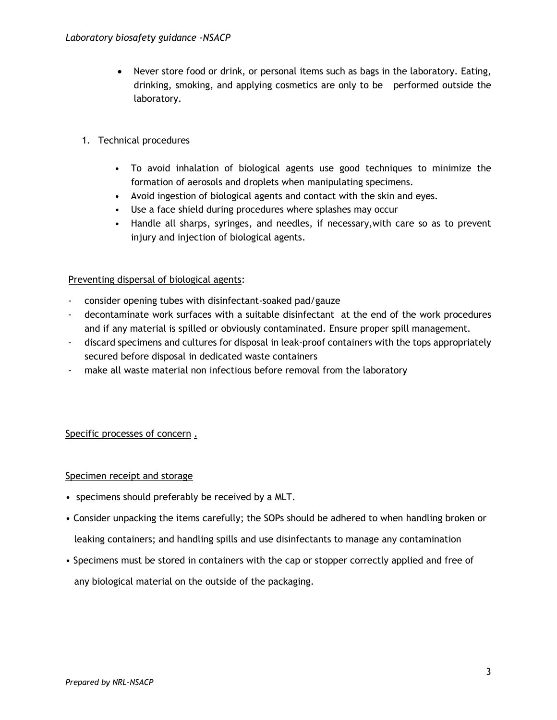- Never store food or drink, or personal items such as bags in the laboratory. Eating, drinking, smoking, and applying cosmetics are only to be performed outside the laboratory.
- 1. Technical procedures
	- To avoid inhalation of biological agents use good techniques to minimize the formation of aerosols and droplets when manipulating specimens.
	- Avoid ingestion of biological agents and contact with the skin and eyes.
	- Use a face shield during procedures where splashes may occur
	- Handle all sharps, syringes, and needles, if necessary,with care so as to prevent injury and injection of biological agents.

### Preventing dispersal of biological agents:

- consider opening tubes with disinfectant-soaked pad/gauze
- decontaminate work surfaces with a suitable disinfectant at the end of the work procedures and if any material is spilled or obviously contaminated. Ensure proper spill management.
- discard specimens and cultures for disposal in leak-proof containers with the tops appropriately secured before disposal in dedicated waste containers
- make all waste material non infectious before removal from the laboratory

### Specific processes of concern .

### Specimen receipt and storage

- specimens should preferably be received by a MLT.
- Consider unpacking the items carefully; the SOPs should be adhered to when handling broken or leaking containers; and handling spills and use disinfectants to manage any contamination
- Specimens must be stored in containers with the cap or stopper correctly applied and free of any biological material on the outside of the packaging.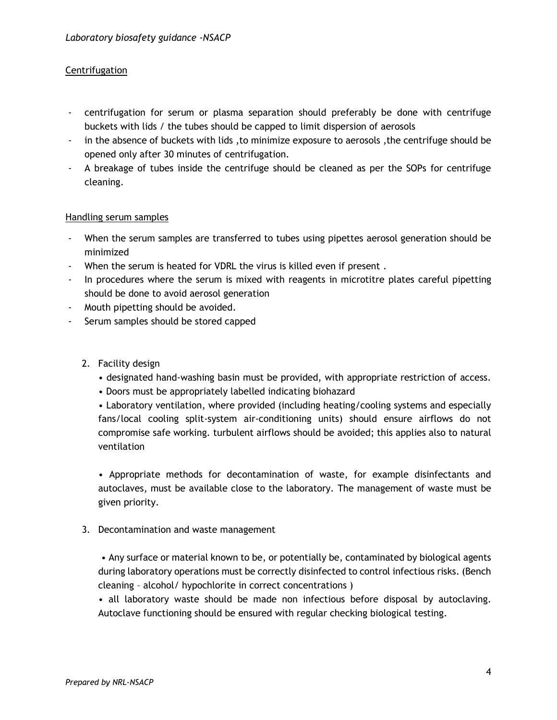## **Centrifugation**

- centrifugation for serum or plasma separation should preferably be done with centrifuge buckets with lids / the tubes should be capped to limit dispersion of aerosols
- in the absence of buckets with lids ,to minimize exposure to aerosols ,the centrifuge should be opened only after 30 minutes of centrifugation.
- A breakage of tubes inside the centrifuge should be cleaned as per the SOPs for centrifuge cleaning.

#### Handling serum samples

- When the serum samples are transferred to tubes using pipettes aerosol generation should be minimized
- When the serum is heated for VDRL the virus is killed even if present .
- In procedures where the serum is mixed with reagents in microtitre plates careful pipetting should be done to avoid aerosol generation
- Mouth pipetting should be avoided.
- Serum samples should be stored capped
	- 2. Facility design
		- designated hand-washing basin must be provided, with appropriate restriction of access.
		- Doors must be appropriately labelled indicating biohazard

• Laboratory ventilation, where provided (including heating/cooling systems and especially fans/local cooling split-system air-conditioning units) should ensure airflows do not compromise safe working. turbulent airflows should be avoided; this applies also to natural ventilation

• Appropriate methods for decontamination of waste, for example disinfectants and autoclaves, must be available close to the laboratory. The management of waste must be given priority.

3. Decontamination and waste management

• Any surface or material known to be, or potentially be, contaminated by biological agents during laboratory operations must be correctly disinfected to control infectious risks. (Bench cleaning – alcohol/ hypochlorite in correct concentrations )

• all laboratory waste should be made non infectious before disposal by autoclaving. Autoclave functioning should be ensured with regular checking biological testing.